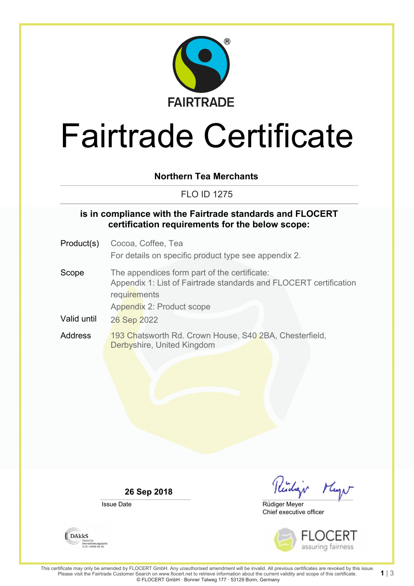

# Fairtrade Certificate

#### **Northern Tea Merchants**

FLO ID 1275

#### **is in compliance with the Fairtrade standards and FLOCERT certification requirements for the below scope:**

- Product(s) Cocoa, Coffee, Tea For details on specific product type see appendix 2.
- Scope The appendices form part of the certificate: Appendix 1: List of Fairtrade standards and FLOCERT certification **requirements** Appendix 2: Product scope
- Valid until 26 Sep 2022
- Address 193 Chatsworth Rd. Crown House, S40 2BA, Chesterfield, Derbyshire, United Kingdom

**26 Sep 2018**

Issue Date

Rudgi Mayo

Chief executive officer Rüdiger Meyer



**DAKKS** Akkreditierungsstelle<br>D-ZE-14408-01-00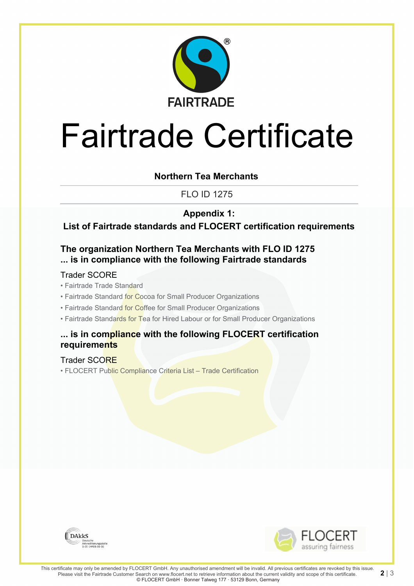

# Fairtrade Certificate

#### **Northern Tea Merchants**

FLO ID 1275

### **Appendix 1:**

**List of Fairtrade standards and FLOCERT certification requirements**

### **The organization Northern Tea Merchants with FLO ID 1275 ... is in compliance with the following Fairtrade standards**

#### Trader SCORE

- Fairtrade Trade Standard
- Fairtrade Standard for Cocoa for Small Producer Organizations
- Fairtrade Standard for Coffee for Small Producer Organizations
- Fairtrade Standards for Tea for Hired Labour or for Small Producer Organizations

#### **... is in compliance with the following FLOCERT certification requirements**

#### Trader SCORE

• FLOCERT Public Compliance Criteria List – Trade Certification